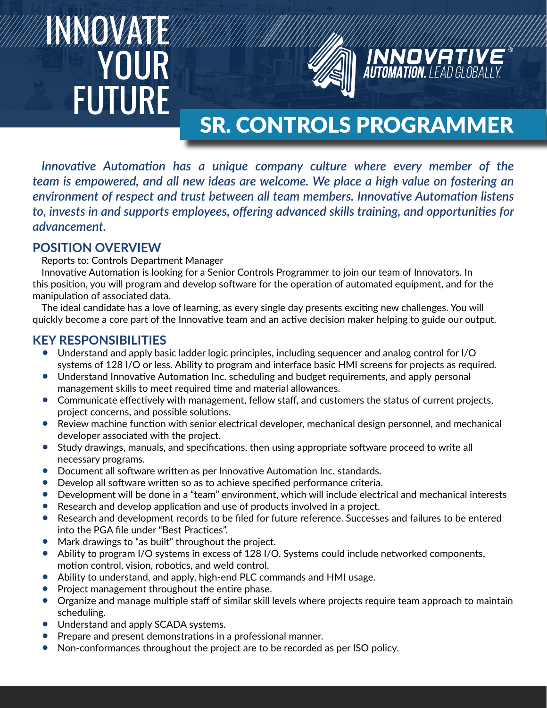# INNOVATE YOUR FUTURE



# SR. CONTROLS PROGRAMMER

**INNOVATIV**<br>**AUTOMATION.** LEAD GLOBAL

*Innovative Automation has a unique company culture where every member of the team is empowered, and all new ideas are welcome. We place a high value on fostering an environment of respect and trust between all team members. Innovative Automation listens to, invests in and supports employees, offering advanced skills training, and opportunities for advancement.*

#### **POSITION OVERVIEW**

Reports to: Controls Department Manager

Innovative Automation is looking for a Senior Controls Programmer to join our team of Innovators. In this position, you will program and develop software for the operation of automated equipment, and for the manipulation of associated data.

The ideal candidate has a love of learning, as every single day presents exciting new challenges. You will quickly become a core part of the Innovative team and an active decision maker helping to guide our output.

### **KEY RESPONSIBILITIES**

- Understand and apply basic ladder logic principles, including sequencer and analog control for I/O systems of 128 I/O or less. Ability to program and interface basic HMI screens for projects as required.
- Understand Innovative Automation Inc. scheduling and budget requirements, and apply personal management skills to meet required time and material allowances.
- Communicate effectively with management, fellow staff, and customers the status of current projects, project concerns, and possible solutions.
- Review machine function with senior electrical developer, mechanical design personnel, and mechanical developer associated with the project.
- Study drawings, manuals, and specifications, then using appropriate software proceed to write all necessary programs.
- Document all software written as per Innovative Automation Inc. standards.
- Develop all software written so as to achieve specified performance criteria.
- Development will be done in a "team" environment, which will include electrical and mechanical interests
- Research and develop application and use of products involved in a project.
- Research and development records to be filed for future reference. Successes and failures to be entered into the PGA file under "Best Practices".
- Mark drawings to "as built" throughout the project.
- Ability to program I/O systems in excess of 128 I/O. Systems could include networked components, motion control, vision, robotics, and weld control.
- Ability to understand, and apply, high-end PLC commands and HMI usage.
- Project management throughout the entire phase.
- Organize and manage multiple staff of similar skill levels where projects require team approach to maintain scheduling.
- Understand and apply SCADA systems.
- Prepare and present demonstrations in a professional manner.
- Non-conformances throughout the project are to be recorded as per ISO policy.